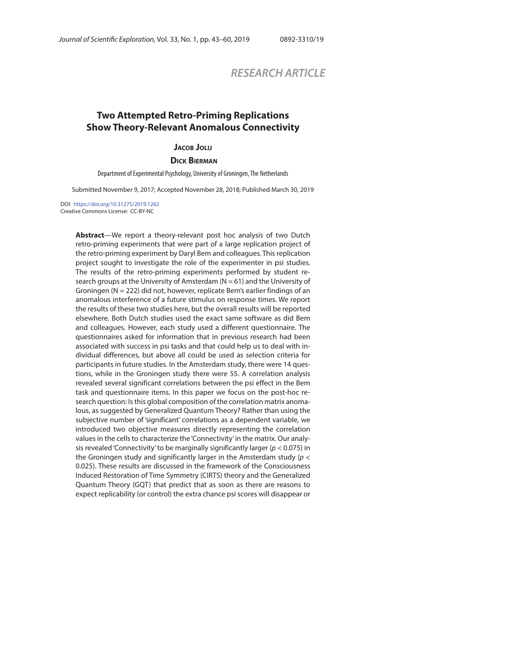# *RESEARCH ARTICLE*

# **Two Attempted Retro-Priming Replications Show Theory-Relevant Anomalous Connectivity**

**JACOB JOLIJ**

#### **DICK BIERMAN**

Department of Experimental Psychology, University of Groningen, The Netherlands

Submitted November 9, 2017; Accepted November 28, 2018; Published March 30, 2019

DOI: https://doi.org/10.31275/2019.1262 Creative Commons License: CC-BY-NC

> **Abstract**—We report a theory-relevant post hoc analysis of two Dutch retro-priming experiments that were part of a large replication project of the retro-priming experiment by Daryl Bem and colleagues. This replication project sought to investigate the role of the experimenter in psi studies. The results of the retro-priming experiments performed by student research groups at the University of Amsterdam ( $N = 61$ ) and the University of Groningen (N = 222) did not, however, replicate Bem's earlier findings of an anomalous interference of a future stimulus on response times. We report the results of these two studies here, but the overall results will be reported elsewhere. Both Dutch studies used the exact same software as did Bem and colleagues. However, each study used a different questionnaire. The questionnaires asked for information that in previous research had been associated with success in psi tasks and that could help us to deal with individual differences, but above all could be used as selection criteria for participants in future studies. In the Amsterdam study, there were 14 questions, while in the Groningen study there were 55. A correlation analysis revealed several significant correlations between the psi effect in the Bem task and questionnaire items. In this paper we focus on the post-hoc research question: Is this global composition of the correlation matrix anomalous, as suggested by Generalized Quantum Theory? Rather than using the subjective number of 'significant' correlations as a dependent variable, we introduced two objective measures directly representing the correlation values in the cells to characterize the 'Connectivity' in the matrix. Our analysis revealed 'Connectivity' to be marginally significantly larger ( $p < 0.075$ ) in the Groningen study and significantly larger in the Amsterdam study ( $p <$ 0.025). These results are discussed in the framework of the Consciousness Induced Restoration of Time Symmetry (CIRTS) theory and the Generalized Quantum Theory (GQT) that predict that as soon as there are reasons to expect replicability (or control) the extra chance psi scores will disappear or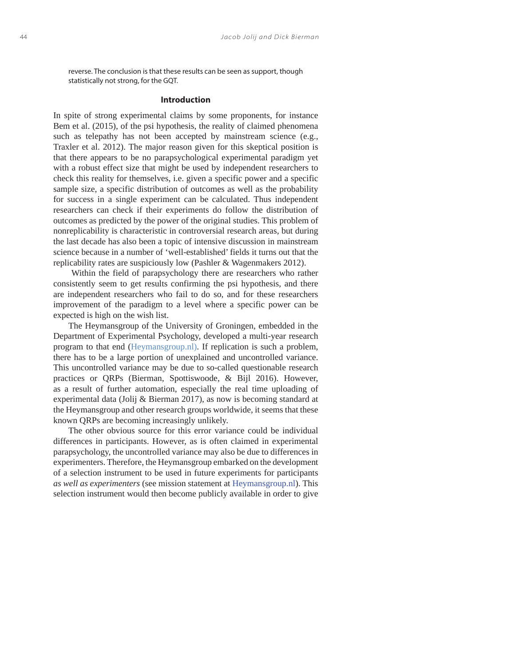reverse. The conclusion is that these results can be seen as support, though statistically not strong, for the GQT.

#### **Introduction**

In spite of strong experimental claims by some proponents, for instance Bem et al. (2015), of the psi hypothesis, the reality of claimed phenomena such as telepathy has not been accepted by mainstream science (e.g., Traxler et al. 2012). The major reason given for this skeptical position is that there appears to be no parapsychological experimental paradigm yet with a robust effect size that might be used by independent researchers to check this reality for themselves, i.e. given a specific power and a specific sample size, a specific distribution of outcomes as well as the probability for success in a single experiment can be calculated. Thus independent researchers can check if their experiments do follow the distribution of outcomes as predicted by the power of the original studies. This problem of nonreplicability is characteristic in controversial research areas, but during the last decade has also been a topic of intensive discussion in mainstream science because in a number of 'well-established' fields it turns out that the replicability rates are suspiciously low (Pashler & Wagenmakers 2012).

 Within the field of parapsychology there are researchers who rather consistently seem to get results confirming the psi hypothesis, and there are independent researchers who fail to do so, and for these researchers improvement of the paradigm to a level where a specific power can be expected is high on the wish list.

The Heymansgroup of the University of Groningen, embedded in the Department of Experimental Psychology, developed a multi-year research program to that end (Heymansgroup.nl). If replication is such a problem, there has to be a large portion of unexplained and uncontrolled variance. This uncontrolled variance may be due to so-called questionable research practices or QRPs (Bierman, Spottiswoode, & Bijl 2016). However, as a result of further automation, especially the real time uploading of experimental data (Jolij & Bierman 2017), as now is becoming standard at the Heymansgroup and other research groups worldwide, it seems that these known QRPs are becoming increasingly unlikely.

The other obvious source for this error variance could be individual differences in participants. However, as is often claimed in experimental parapsychology, the uncontrolled variance may also be due to differences in experimenters. Therefore, the Heymansgroup embarked on the development of a selection instrument to be used in future experiments for participants *as well as experimenters* (see mission statement at Heymansgroup.nl). This selection instrument would then become publicly available in order to give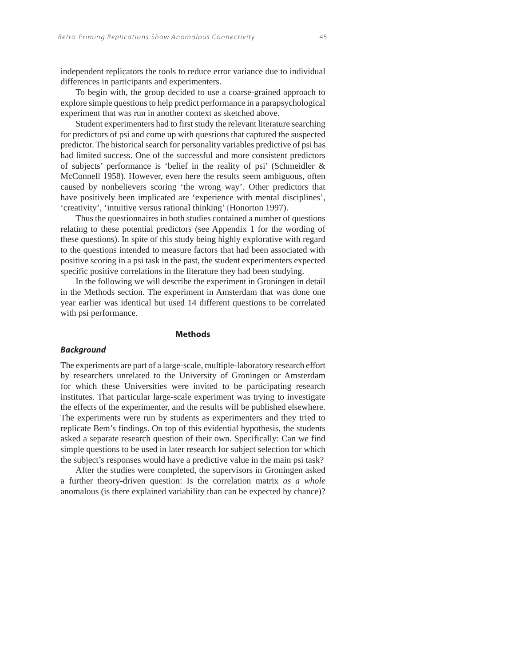independent replicators the tools to reduce error variance due to individual differences in participants and experimenters.

To begin with, the group decided to use a coarse-grained approach to explore simple questions to help predict performance in a parapsychological experiment that was run in another context as sketched above.

Student experimenters had to first study the relevant literature searching for predictors of psi and come up with questions that captured the suspected predictor. The historical search for personality variables predictive of psi has had limited success. One of the successful and more consistent predictors of subjects' performance is 'belief in the reality of psi' (Schmeidler & McConnell 1958). However, even here the results seem ambiguous, often caused by nonbelievers scoring 'the wrong way'. Other predictors that have positively been implicated are 'experience with mental disciplines', 'creativity', 'intuitive versus rational thinking' (Honorton 1997).

Thus the questionnaires in both studies contained a number of questions relating to these potential predictors (see Appendix 1 for the wording of these questions). In spite of this study being highly explorative with regard to the questions intended to measure factors that had been associated with positive scoring in a psi task in the past, the student experimenters expected specific positive correlations in the literature they had been studying.

In the following we will describe the experiment in Groningen in detail in the Methods section. The experiment in Amsterdam that was done one year earlier was identical but used 14 different questions to be correlated with psi performance.

### **Methods**

#### *Background*

The experiments are part of a large-scale, multiple-laboratory research effort by researchers unrelated to the University of Groningen or Amsterdam for which these Universities were invited to be participating research institutes. That particular large-scale experiment was trying to investigate the effects of the experimenter, and the results will be published elsewhere. The experiments were run by students as experimenters and they tried to replicate Bem's findings. On top of this evidential hypothesis, the students asked a separate research question of their own. Specifically: Can we find simple questions to be used in later research for subject selection for which the subject's responses would have a predictive value in the main psi task?

After the studies were completed, the supervisors in Groningen asked a further theory-driven question: Is the correlation matrix *as a whole* anomalous (is there explained variability than can be expected by chance)?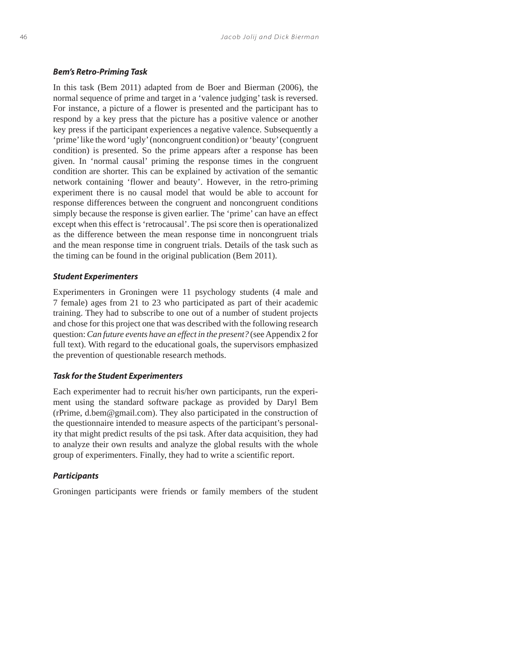#### *Bem's Retro-Priming Task*

In this task (Bem 2011) adapted from de Boer and Bierman (2006), the normal sequence of prime and target in a 'valence judging' task is reversed. For instance, a picture of a flower is presented and the participant has to respond by a key press that the picture has a positive valence or another key press if the participant experiences a negative valence. Subsequently a 'prime' like the word 'ugly' (noncongruent condition) or 'beauty' (congruent condition) is presented. So the prime appears after a response has been given. In 'normal causal' priming the response times in the congruent condition are shorter. This can be explained by activation of the semantic network containing 'flower and beauty'. However, in the retro-priming experiment there is no causal model that would be able to account for response differences between the congruent and noncongruent conditions simply because the response is given earlier. The 'prime' can have an effect except when this effect is 'retrocausal'. The psi score then is operationalized as the difference between the mean response time in noncongruent trials and the mean response time in congruent trials. Details of the task such as the timing can be found in the original publication (Bem 2011).

### *Student Experimenters*

Experimenters in Groningen were 11 psychology students (4 male and 7 female) ages from 21 to 23 who participated as part of their academic training. They had to subscribe to one out of a number of student projects and chose for this project one that was described with the following research question: *Can future events have an effect in the present?* (see Appendix 2 for full text). With regard to the educational goals, the supervisors emphasized the prevention of questionable research methods.

#### *Task for the Student Experimenters*

Each experimenter had to recruit his/her own participants, run the experiment using the standard software package as provided by Daryl Bem (rPrime, d.bem@gmail.com). They also participated in the construction of the questionnaire intended to measure aspects of the participant's personality that might predict results of the psi task. After data acquisition, they had to analyze their own results and analyze the global results with the whole group of experimenters. Finally, they had to write a scientific report.

### *Participants*

Groningen participants were friends or family members of the student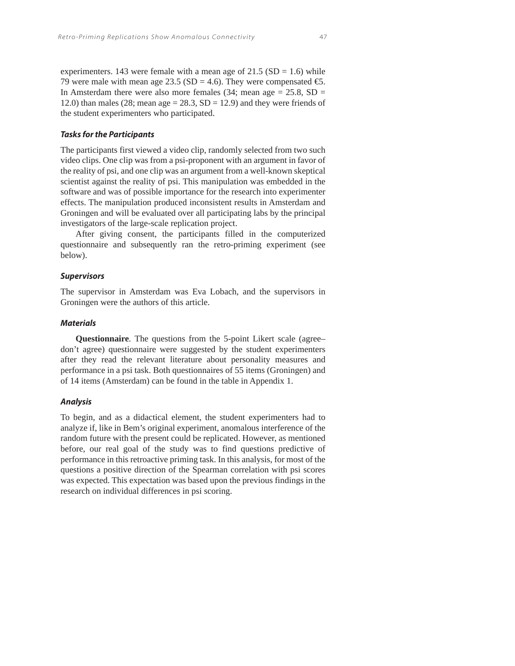experimenters. 143 were female with a mean age of  $21.5$  (SD = 1.6) while 79 were male with mean age 23.5 (SD = 4.6). They were compensated  $\bigoplus$ . In Amsterdam there were also more females (34; mean age  $= 25.8$ , SD  $=$ 12.0) than males (28; mean age =  $28.3$ , SD = 12.9) and they were friends of the student experimenters who participated.

### *Tasks for the Participants*

The participants first viewed a video clip, randomly selected from two such video clips. One clip was from a psi-proponent with an argument in favor of the reality of psi, and one clip was an argument from a well-known skeptical scientist against the reality of psi. This manipulation was embedded in the software and was of possible importance for the research into experimenter effects. The manipulation produced inconsistent results in Amsterdam and Groningen and will be evaluated over all participating labs by the principal investigators of the large-scale replication project.

After giving consent, the participants filled in the computerized questionnaire and subsequently ran the retro-priming experiment (see below).

#### *Supervisors*

The supervisor in Amsterdam was Eva Lobach, and the supervisors in Groningen were the authors of this article.

### *Materials*

**Questionnaire***.* The questions from the 5-point Likert scale (agree– don't agree) questionnaire were suggested by the student experimenters after they read the relevant literature about personality measures and performance in a psi task. Both questionnaires of 55 items (Groningen) and of 14 items (Amsterdam) can be found in the table in Appendix 1.

### *Analysis*

To begin, and as a didactical element, the student experimenters had to analyze if, like in Bem's original experiment, anomalous interference of the random future with the present could be replicated. However, as mentioned before, our real goal of the study was to find questions predictive of performance in this retroactive priming task. In this analysis, for most of the questions a positive direction of the Spearman correlation with psi scores was expected. This expectation was based upon the previous findings in the research on individual differences in psi scoring.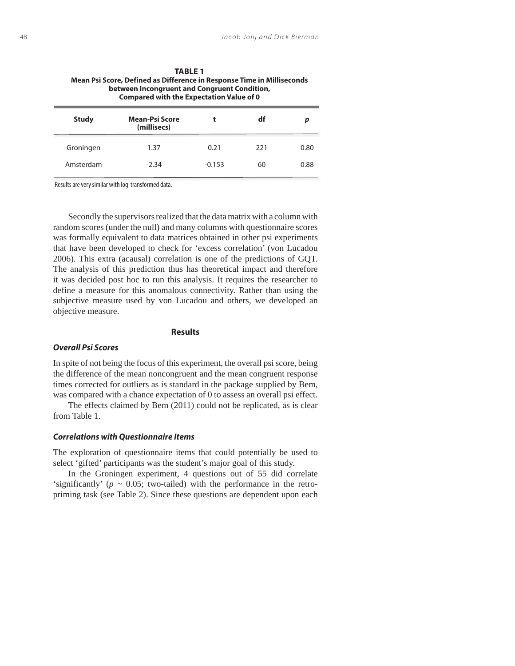| between Incongruent and Congruent Condition,<br><b>Compared with the Expectation Value of 0</b> |                               |          |     |      |
|-------------------------------------------------------------------------------------------------|-------------------------------|----------|-----|------|
| <b>Study</b>                                                                                    | Mean-Psi Score<br>(millisecs) |          | df  |      |
| Groningen                                                                                       | 1.37                          | 0.21     | 221 | 0.80 |
| Amsterdam                                                                                       | $-2.34$                       | $-0.153$ | 60  | 0.88 |

**Mean Psi Score, Defined as Difference in Response Time in Milliseconds** 

**TABLE 1**

Results are very similar with log-transformed data.

Secondly the supervisors realized that the data matrix with a column with random scores (under the null) and many columns with questionnaire scores was formally equivalent to data matrices obtained in other psi experiments that have been developed to check for 'excess correlation' (von Lucadou 2006). This extra (acausal) correlation is one of the predictions of GQT. The analysis of this prediction thus has theoretical impact and therefore it was decided post hoc to run this analysis. It requires the researcher to define a measure for this anomalous connectivity. Rather than using the subjective measure used by von Lucadou and others, we developed an objective measure.

#### **Results**

### *Overall Psi Scores*

In spite of not being the focus of this experiment, the overall psi score, being the difference of the mean noncongruent and the mean congruent response times corrected for outliers as is standard in the package supplied by Bem, was compared with a chance expectation of 0 to assess an overall psi effect.

The effects claimed by Bem (2011) could not be replicated, as is clear from Table 1.

### *Correlations with Questionnaire Items*

The exploration of questionnaire items that could potentially be used to select 'gifted' participants was the student's major goal of this study.

In the Groningen experiment, 4 questions out of 55 did correlate 'significantly' ( $p \sim 0.05$ ; two-tailed) with the performance in the retropriming task (see Table 2). Since these questions are dependent upon each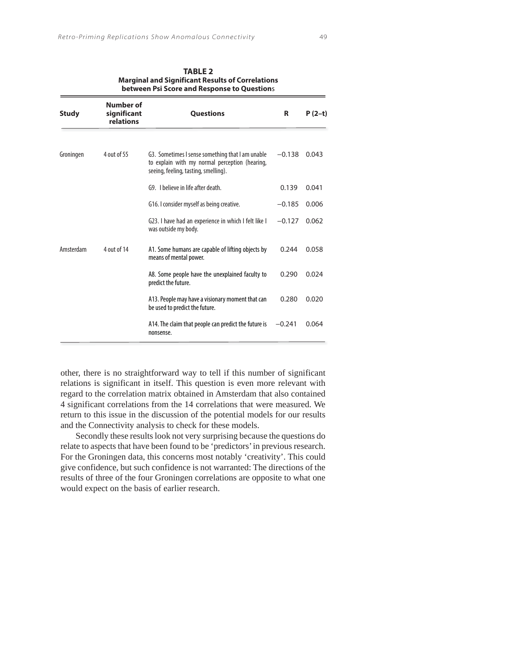| between Psi Score and Response to Questions |                                       |                                                                                                                                            |          |          |  |
|---------------------------------------------|---------------------------------------|--------------------------------------------------------------------------------------------------------------------------------------------|----------|----------|--|
| <b>Study</b>                                | Number of<br>significant<br>relations | <b>Questions</b>                                                                                                                           | R        | $P(2-t)$ |  |
| Groningen                                   | 4 out of 55                           | G3. Sometimes I sense something that I am unable<br>to explain with my normal perception (hearing,<br>seeing, feeling, tasting, smelling). | $-0.138$ | 0.043    |  |
|                                             |                                       | G9. I believe in life after death.                                                                                                         | 0.139    | 0.041    |  |
|                                             |                                       | G16. I consider myself as being creative.                                                                                                  | $-0.185$ | 0.006    |  |
|                                             |                                       | G23. I have had an experience in which I felt like I<br>was outside my body.                                                               | $-0.127$ | 0.062    |  |
| Amsterdam                                   | 4 out of 14                           | A1. Some humans are capable of lifting objects by<br>means of mental power.                                                                | 0.244    | 0.058    |  |
|                                             |                                       | A8. Some people have the unexplained faculty to<br>predict the future.                                                                     | 0.290    | 0.024    |  |
|                                             |                                       | A13. People may have a visionary moment that can<br>be used to predict the future.                                                         | 0.280    | 0.020    |  |
|                                             |                                       | A14. The claim that people can predict the future is<br>nonsense.                                                                          | $-0.241$ | 0.064    |  |

| <b>TABLE 2</b>                                          |
|---------------------------------------------------------|
| <b>Marginal and Significant Results of Correlations</b> |
|                                                         |

other, there is no straightforward way to tell if this number of significant relations is significant in itself. This question is even more relevant with regard to the correlation matrix obtained in Amsterdam that also contained 4 significant correlations from the 14 correlations that were measured. We return to this issue in the discussion of the potential models for our results and the Connectivity analysis to check for these models.

Secondly these results look not very surprising because the questions do relate to aspects that have been found to be 'predictors' in previous research. For the Groningen data, this concerns most notably 'creativity'. This could give confidence, but such confidence is not warranted: The directions of the results of three of the four Groningen correlations are opposite to what one would expect on the basis of earlier research.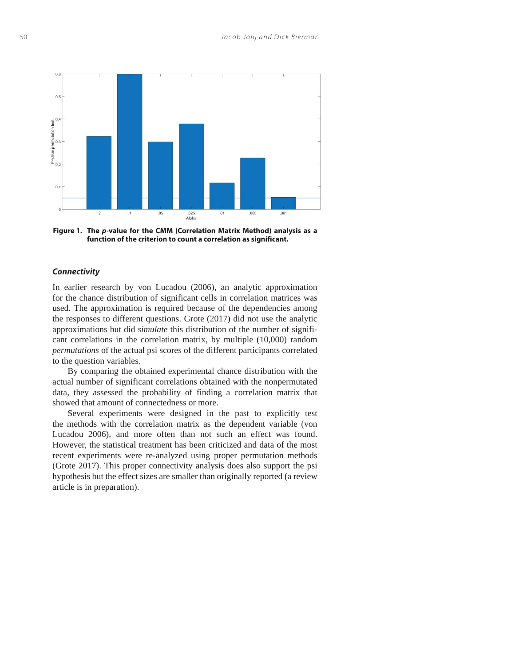

**Figure 1. The** *p***-value for the CMM (Correlation Matrix Method) analysis as a function of the criterion to count a correlation as significant.**

### *Connectivity*

In earlier research by von Lucadou (2006), an analytic approximation for the chance distribution of significant cells in correlation matrices was used. The approximation is required because of the dependencies among the responses to different questions. Grote (2017) did not use the analytic approximations but did *simulate* this distribution of the number of significant correlations in the correlation matrix, by multiple (10,000) random *permutations* of the actual psi scores of the different participants correlated to the question variables.

By comparing the obtained experimental chance distribution with the actual number of significant correlations obtained with the nonpermutated data, they assessed the probability of finding a correlation matrix that showed that amount of connectedness or more.

Several experiments were designed in the past to explicitly test the methods with the correlation matrix as the dependent variable (von Lucadou 2006), and more often than not such an effect was found. However, the statistical treatment has been criticized and data of the most recent experiments were re-analyzed using proper permutation methods (Grote 2017). This proper connectivity analysis does also support the psi hypothesis but the effect sizes are smaller than originally reported (a review article is in preparation).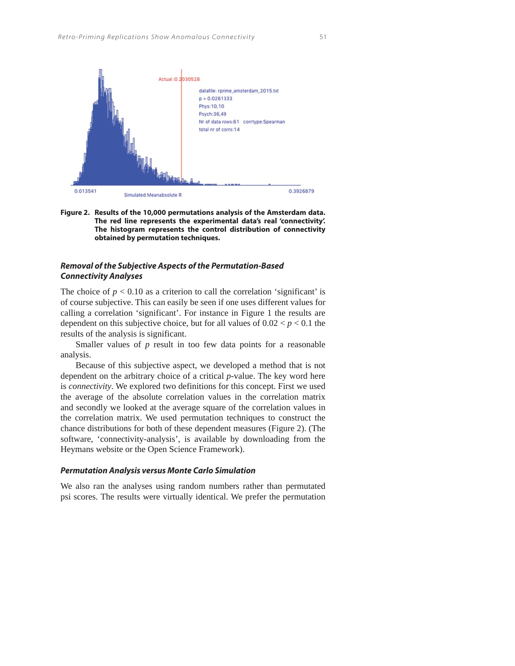

**Figure 2. Results of the 10,000 permutations analysis of the Amsterdam data. The red line represents the experimental data's real 'connectivity'. The histogram represents the control distribution of connectivity obtained by permutation techniques.**

### *Removal of the Subjective Aspects of the Permutation-Based Connectivity Analyses*

The choice of  $p < 0.10$  as a criterion to call the correlation 'significant' is of course subjective. This can easily be seen if one uses different values for calling a correlation 'significant'. For instance in Figure 1 the results are dependent on this subjective choice, but for all values of  $0.02 < p < 0.1$  the results of the analysis is significant.

Smaller values of *p* result in too few data points for a reasonable analysis.

Because of this subjective aspect, we developed a method that is not dependent on the arbitrary choice of a critical *p*-value. The key word here is *connectivity*. We explored two definitions for this concept. First we used the average of the absolute correlation values in the correlation matrix and secondly we looked at the average square of the correlation values in the correlation matrix. We used permutation techniques to construct the chance distributions for both of these dependent measures (Figure 2). (The software, 'connectivity-analysis', is available by downloading from the Heymans website or the Open Science Framework).

### *Permutation Analysis versus Monte Carlo Simulation*

We also ran the analyses using random numbers rather than permutated psi scores. The results were virtually identical. We prefer the permutation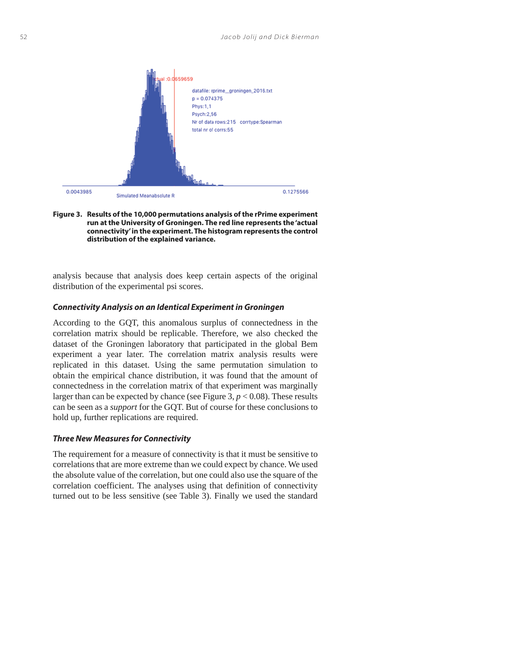



analysis because that analysis does keep certain aspects of the original distribution of the experimental psi scores.

### *Connectivity Analysis on an Identical Experiment in Groningen*

According to the GQT, this anomalous surplus of connectedness in the correlation matrix should be replicable. Therefore, we also checked the dataset of the Groningen laboratory that participated in the global Bem experiment a year later. The correlation matrix analysis results were replicated in this dataset. Using the same permutation simulation to obtain the empirical chance distribution, it was found that the amount of connectedness in the correlation matrix of that experiment was marginally larger than can be expected by chance (see Figure 3,  $p < 0.08$ ). These results can be seen as a *support* for the GQT. But of course for these conclusions to hold up, further replications are required.

### *Three New Measures for Connectivity*

The requirement for a measure of connectivity is that it must be sensitive to correlations that are more extreme than we could expect by chance. We used the absolute value of the correlation, but one could also use the square of the correlation coefficient. The analyses using that definition of connectivity turned out to be less sensitive (see Table 3). Finally we used the standard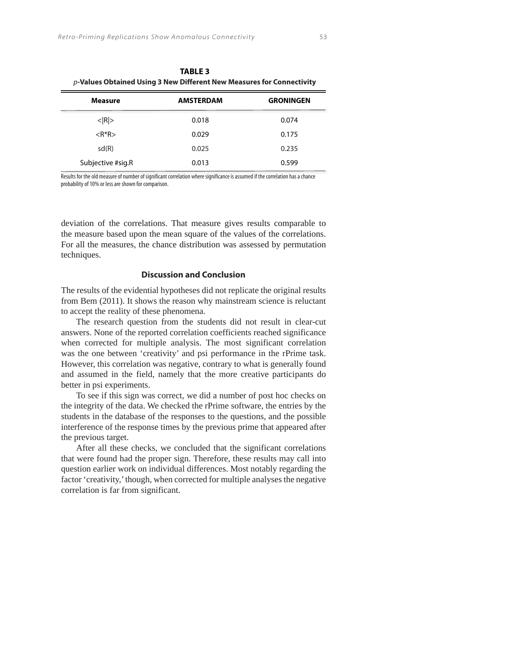| <b>TABLE 3</b><br>$p$ -Values Obtained Using 3 New Different New Measures for Connectivity |                  |                  |
|--------------------------------------------------------------------------------------------|------------------|------------------|
| <b>Measure</b>                                                                             | <b>AMSTERDAM</b> | <b>GRONINGEN</b> |
| $<$ $ R $ >                                                                                | 0.018            | 0.074            |
| $<$ R <sup>*</sup> R>                                                                      | 0.029            | 0.175            |
| sd(R)                                                                                      | 0.025            | 0.235            |
| Subjective #sig.R                                                                          | 0.013            | 0.599            |

Results for the old measure of number of significant correlation where significance is assumed if the correlation has a chance probability of 10% or less are shown for comparison.

deviation of the correlations. That measure gives results comparable to the measure based upon the mean square of the values of the correlations. For all the measures, the chance distribution was assessed by permutation techniques.

## **Discussion and Conclusion**

The results of the evidential hypotheses did not replicate the original results from Bem (2011). It shows the reason why mainstream science is reluctant to accept the reality of these phenomena.

The research question from the students did not result in clear-cut answers. None of the reported correlation coefficients reached significance when corrected for multiple analysis. The most significant correlation was the one between 'creativity' and psi performance in the rPrime task. However, this correlation was negative, contrary to what is generally found and assumed in the field, namely that the more creative participants do better in psi experiments.

To see if this sign was correct, we did a number of post hoc checks on the integrity of the data. We checked the rPrime software, the entries by the students in the database of the responses to the questions, and the possible interference of the response times by the previous prime that appeared after the previous target.

After all these checks, we concluded that the significant correlations that were found had the proper sign. Therefore, these results may call into question earlier work on individual differences. Most notably regarding the factor 'creativity,' though, when corrected for multiple analyses the negative correlation is far from significant.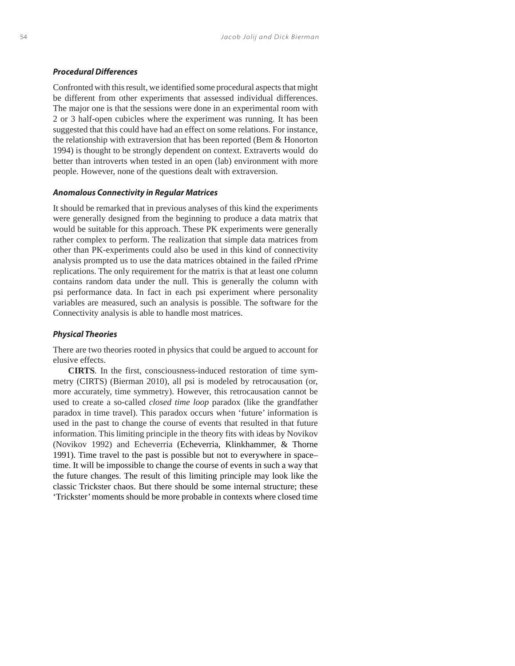### *Procedural Differences*

Confronted with this result, we identified some procedural aspects that might be different from other experiments that assessed individual differences. The major one is that the sessions were done in an experimental room with 2 or 3 half-open cubicles where the experiment was running. It has been suggested that this could have had an effect on some relations. For instance, the relationship with extraversion that has been reported (Bem & Honorton 1994) is thought to be strongly dependent on context. Extraverts would do better than introverts when tested in an open (lab) environment with more people. However, none of the questions dealt with extraversion.

#### *Anomalous Connectivity in Regular Matrices*

It should be remarked that in previous analyses of this kind the experiments were generally designed from the beginning to produce a data matrix that would be suitable for this approach. These PK experiments were generally rather complex to perform. The realization that simple data matrices from other than PK-experiments could also be used in this kind of connectivity analysis prompted us to use the data matrices obtained in the failed rPrime replications. The only requirement for the matrix is that at least one column contains random data under the null. This is generally the column with psi performance data. In fact in each psi experiment where personality variables are measured, such an analysis is possible. The software for the Connectivity analysis is able to handle most matrices.

#### *Physical Theories*

There are two theories rooted in physics that could be argued to account for elusive effects.

**CIRTS***.* In the first, consciousness-induced restoration of time symmetry (CIRTS) (Bierman 2010), all psi is modeled by retrocausation (or, more accurately, time symmetry). However, this retrocausation cannot be used to create a so-called *closed time loop* paradox (like the grandfather paradox in time travel). This paradox occurs when 'future' information is used in the past to change the course of events that resulted in that future information. This limiting principle in the theory fits with ideas by Novikov (Novikov 1992) and Echeverria (Echeverria, Klinkhammer, & Thorne 1991). Time travel to the past is possible but not to everywhere in space– time. It will be impossible to change the course of events in such a way that the future changes. The result of this limiting principle may look like the classic Trickster chaos. But there should be some internal structure; these 'Trickster' moments should be more probable in contexts where closed time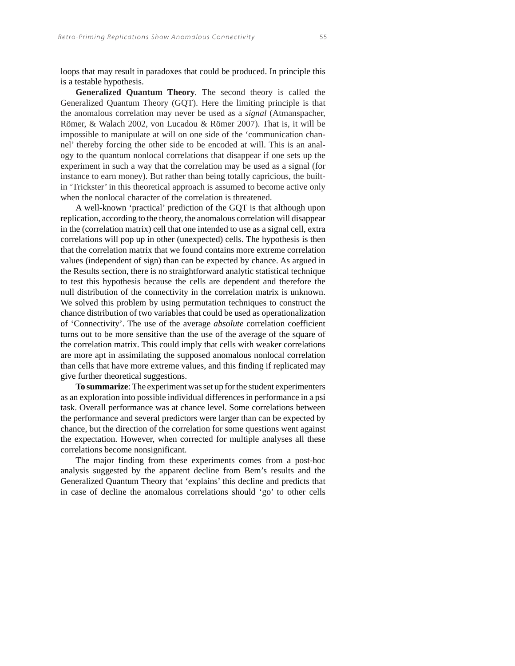loops that may result in paradoxes that could be produced. In principle this is a testable hypothesis.

**Generalized Quantum Theory***.* The second theory is called the Generalized Quantum Theory (GQT). Here the limiting principle is that the anomalous correlation may never be used as a *signal* (Atmanspacher, Römer, & Walach 2002, von Lucadou & Römer 2007). That is, it will be impossible to manipulate at will on one side of the 'communication channel' thereby forcing the other side to be encoded at will. This is an analogy to the quantum nonlocal correlations that disappear if one sets up the experiment in such a way that the correlation may be used as a signal (for instance to earn money). But rather than being totally capricious, the builtin 'Trickster' in this theoretical approach is assumed to become active only when the nonlocal character of the correlation is threatened.

A well-known 'practical' prediction of the GQT is that although upon replication, according to the theory, the anomalous correlation will disappear in the (correlation matrix) cell that one intended to use as a signal cell, extra correlations will pop up in other (unexpected) cells. The hypothesis is then that the correlation matrix that we found contains more extreme correlation values (independent of sign) than can be expected by chance. As argued in the Results section, there is no straightforward analytic statistical technique to test this hypothesis because the cells are dependent and therefore the null distribution of the connectivity in the correlation matrix is unknown. We solved this problem by using permutation techniques to construct the chance distribution of two variables that could be used as operationalization of 'Connectivity'. The use of the average *absolute* correlation coefficient turns out to be more sensitive than the use of the average of the square of the correlation matrix. This could imply that cells with weaker correlations are more apt in assimilating the supposed anomalous nonlocal correlation than cells that have more extreme values, and this finding if replicated may give further theoretical suggestions.

**To summarize**: The experiment was set up for the student experimenters as an exploration into possible individual differences in performance in a psi task. Overall performance was at chance level. Some correlations between the performance and several predictors were larger than can be expected by chance, but the direction of the correlation for some questions went against the expectation. However, when corrected for multiple analyses all these correlations become nonsignificant.

The major finding from these experiments comes from a post-hoc analysis suggested by the apparent decline from Bem's results and the Generalized Quantum Theory that 'explains' this decline and predicts that in case of decline the anomalous correlations should 'go' to other cells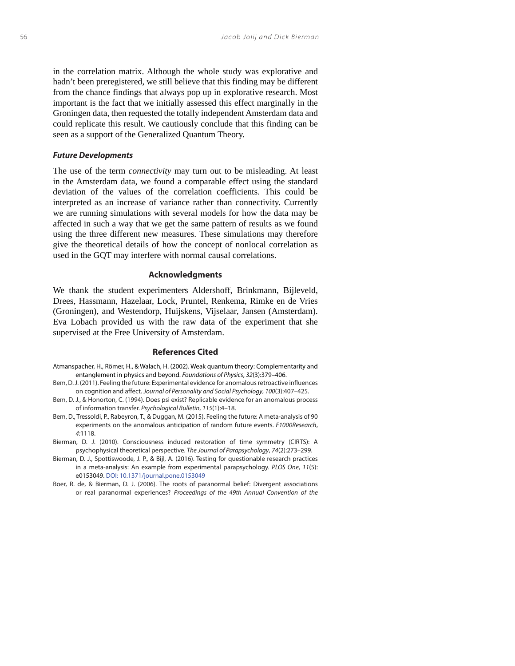in the correlation matrix. Although the whole study was explorative and hadn't been preregistered, we still believe that this finding may be different from the chance findings that always pop up in explorative research. Most important is the fact that we initially assessed this effect marginally in the Groningen data, then requested the totally independent Amsterdam data and could replicate this result. We cautiously conclude that this finding can be seen as a support of the Generalized Quantum Theory.

#### *Future Developments*

The use of the term *connectivity* may turn out to be misleading. At least in the Amsterdam data, we found a comparable effect using the standard deviation of the values of the correlation coefficients. This could be interpreted as an increase of variance rather than connectivity. Currently we are running simulations with several models for how the data may be affected in such a way that we get the same pattern of results as we found using the three different new measures. These simulations may therefore give the theoretical details of how the concept of nonlocal correlation as used in the GQT may interfere with normal causal correlations.

#### **Acknowledgments**

We thank the student experimenters Aldershoff, Brinkmann, Bijleveld, Drees, Hassmann, Hazelaar, Lock, Pruntel, Renkema, Rimke en de Vries (Groningen), and Westendorp, Huijskens, Vijselaar, Jansen (Amsterdam). Eva Lobach provided us with the raw data of the experiment that she supervised at the Free University of Amsterdam.

#### **References Cited**

- Atmanspacher, H., Römer, H., & Walach, H. (2002). Weak quantum theory: Complementarity and entanglement in physics and beyond. Foundations of Physics, 32(3):379–406.
- Bem, D. J. (2011). Feeling the future: Experimental evidence for anomalous retroactive influences on cognition and affect. Journal of Personality and Social Psychology, 100(3):407–425.
- Bem, D. J., & Honorton, C. (1994). Does psi exist? Replicable evidence for an anomalous process of information transfer. Psychological Bulletin, 115(1):4–18.
- Bem, D., Tressoldi, P., Rabeyron, T., & Duggan, M. (2015). Feeling the future: A meta-analysis of 90 experiments on the anomalous anticipation of random future events. F1000Research, 4:1118.
- Bierman, D. J. (2010). Consciousness induced restoration of time symmetry (CIRTS): A psychophysical theoretical perspective. The Journal of Parapsychology, 74(2):273–299.
- Bierman, D. J., Spottiswoode, J. P., & Bijl, A. (2016). Testing for questionable research practices in a meta-analysis: An example from experimental parapsychology. PLOS One, 11(5): e0153049. DOI: 10.1371/journal.pone.0153049
- Boer, R. de, & Bierman, D. J. (2006). The roots of paranormal belief: Divergent associations or real paranormal experiences? Proceedings of the 49th Annual Convention of the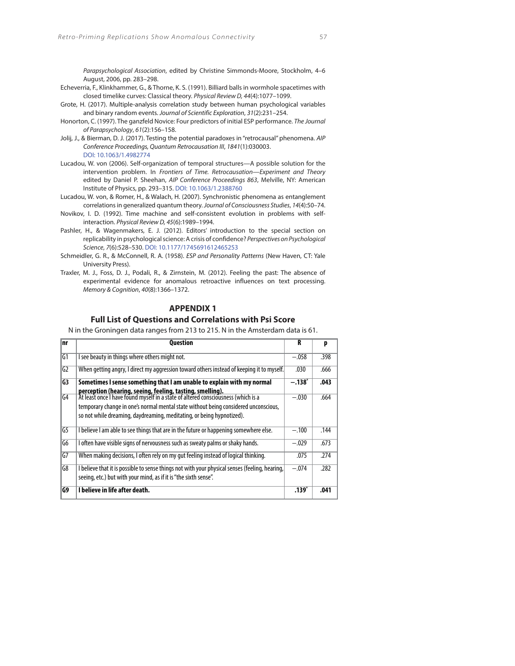Parapsychological Association, edited by Christine Simmonds-Moore, Stockholm, 4–6 August, 2006, pp. 283–298.

- Echeverria, F., Klinkhammer, G., & Thorne, K. S. (1991). Billiard balls in wormhole spacetimes with closed timelike curves: Classical theory. Physical Review D, 44(4):1077–1099.
- Grote, H. (2017). Multiple-analysis correlation study between human psychological variables and binary random events. Journal of Scientific Exploration, 31(2):231–254.
- Honorton, C. (1997). The ganzfeld Novice: Four predictors of initial ESP performance. The Journal of Parapsychology, 61(2):156–158.
- Jolij, J., & Bierman, D. J. (2017). Testing the potential paradoxes in "retrocausal" phenomena. AIP Conference Proceedings, Quantum Retrocausation III, 1841(1):030003. DOI: 10.1063/1.4982774
- Lucadou, W. von (2006). Self-organization of temporal structures—A possible solution for the intervention problem. In Frontiers of Time. Retrocausation—Experiment and Theory edited by Daniel P. Sheehan, AIP Conference Proceedings 863, Melville, NY: American Institute of Physics, pp. 293–315. DOI: 10.1063/1.2388760
- Lucadou, W. von, & Romer, H., & Walach, H. (2007). Synchronistic phenomena as entanglement correlations in generalized quantum theory. Journal of Consciousness Studies, 14(4):50–74.
- Novikov, I. D. (1992). Time machine and self-consistent evolution in problems with selfinteraction. Physical Review D, 45(6):1989–1994.
- Pashler, H., & Wagenmakers, E. J. (2012). Editors' introduction to the special section on replicability in psychological science: A crisis of confidence? Perspectives on Psychological Science, 7(6):528–530. DOI: 10.1177/1745691612465253
- Schmeidler, G. R., & McConnell, R. A. (1958). ESP and Personality Patterns (New Haven, CT: Yale University Press).
- Traxler, M. J., Foss, D. J., Podali, R., & Zirnstein, M. (2012). Feeling the past: The absence of experimental evidence for anomalous retroactive influences on text processing. Memory & Cognition, 40(8):1366–1372.

# **APPENDIX 1**

## **Full List of Questions and Correlations with Psi Score**

N in the Groningen data ranges from 213 to 215. N in the Amsterdam data is 61.

| Inr             | <b>Question</b>                                                                                                                                                                                                                                                                                                | R        | p    |
|-----------------|----------------------------------------------------------------------------------------------------------------------------------------------------------------------------------------------------------------------------------------------------------------------------------------------------------------|----------|------|
| $\overline{G1}$ | I see beauty in things where others might not.                                                                                                                                                                                                                                                                 | $-.058$  | .398 |
| G <sub>2</sub>  | When getting angry, I direct my aggression toward others instead of keeping it to myself.                                                                                                                                                                                                                      | .030     | .666 |
| $\overline{G}$  | Sometimes I sense something that I am unable to explain with my normal                                                                                                                                                                                                                                         | $-.138"$ | .043 |
| $\sqrt{64}$     | perception (hearing, seeing, feeling, tasting, smelling).<br>At least once I have found myself in a state of altered consciousness (which is a<br>temporary change in one's normal mental state without being considered unconscious,<br>so not while dreaming, daydreaming, meditating, or being hypnotized). | $-.030$  | .664 |
| IG5             | I believe I am able to see things that are in the future or happening somewhere else.                                                                                                                                                                                                                          | $-.100$  | .144 |
| IG6             | I often have visible signs of nervousness such as sweaty palms or shaky hands.                                                                                                                                                                                                                                 | $-.029$  | .673 |
| lG7             | When making decisions, I often rely on my gut feeling instead of logical thinking.                                                                                                                                                                                                                             | .075     | .274 |
| G8              | I believe that it is possible to sense things not with your physical senses (feeling, hearing,<br>seeing, etc.) but with your mind, as if it is "the sixth sense".                                                                                                                                             | $-.074$  | .282 |
| G9              | I believe in life after death.                                                                                                                                                                                                                                                                                 | .139*    | .041 |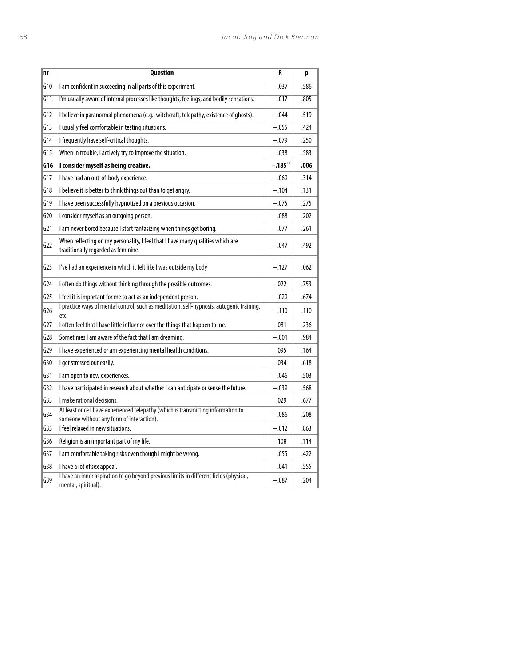| nr               | Question                                                                                                                      | R        | p    |
|------------------|-------------------------------------------------------------------------------------------------------------------------------|----------|------|
| $\overline{610}$ | I am confident in succeeding in all parts of this experiment.                                                                 | .037     | .586 |
| $\overline{611}$ | I'm usually aware of internal processes like thoughts, feelings, and bodily sensations.                                       | $-.017$  | .805 |
| G12              | I believe in paranormal phenomena (e.g., witchcraft, telepathy, existence of ghosts).                                         | $-.044$  | .519 |
| G13              | I usually feel comfortable in testing situations.                                                                             | $-.055$  | .424 |
| G14              | I frequently have self-critical thoughts.                                                                                     | $-.079$  | .250 |
| G15              | When in trouble, I actively try to improve the situation.                                                                     | $-.038$  | .583 |
| G16              | I consider myself as being creative.                                                                                          | $-.185"$ | .006 |
| G17              | I have had an out-of-body experience.                                                                                         | -.069    | .314 |
| G18              | I believe it is better to think things out than to get angry.                                                                 | $-.104$  | .131 |
| G19              | I have been successfully hypnotized on a previous occasion.                                                                   | $-.075$  | .275 |
| G20              | I consider myself as an outgoing person.                                                                                      | $-.088$  | .202 |
| 621              | I am never bored because I start fantasizing when things get boring.                                                          | $-.077$  | .261 |
| G22              | When reflecting on my personality, I feel that I have many qualities which are<br>traditionally regarded as feminine.         | $-.047$  | .492 |
| G23              | I've had an experience in which it felt like I was outside my body                                                            | $-.127$  | .062 |
| G24              | I often do things without thinking through the possible outcomes.                                                             | .022     | .753 |
| G <sub>25</sub>  | I feel it is important for me to act as an independent person.                                                                | $-.029$  | .674 |
| G26              | I practice ways of mental control, such as meditation, self-hypnosis, autogenic training,<br>etc.                             | $-.110$  | .110 |
| 627              | I often feel that I have little influence over the things that happen to me.                                                  | .081     | .236 |
| G28              | Sometimes I am aware of the fact that I am dreaming.                                                                          | $-.001$  | .984 |
| G29              | I have experienced or am experiencing mental health conditions.                                                               | .095     | .164 |
| G30              | I get stressed out easily.                                                                                                    | .034     | .618 |
| G31              | I am open to new experiences.                                                                                                 | $-.046$  | .503 |
| G32              | I have participated in research about whether I can anticipate or sense the future.                                           | $-.039$  | .568 |
| G33              | I make rational decisions.                                                                                                    | .029     | .677 |
| 634              | At least once I have experienced telepathy (which is transmitting information to<br>someone without any form of interaction). | $-.086$  | .208 |
| G35              | I feel relaxed in new situations.                                                                                             | $-.012$  | .863 |
| G36              | Religion is an important part of my life.                                                                                     | .108     | .114 |
| G37              | I am comfortable taking risks even though I might be wrong.                                                                   | $-.055$  | .422 |
| G38              | I have a lot of sex appeal.                                                                                                   | $-.041$  | .555 |
| G39              | I have an inner aspiration to go beyond previous limits in different fields (physical,<br>mental, spiritual).                 | $-.087$  | .204 |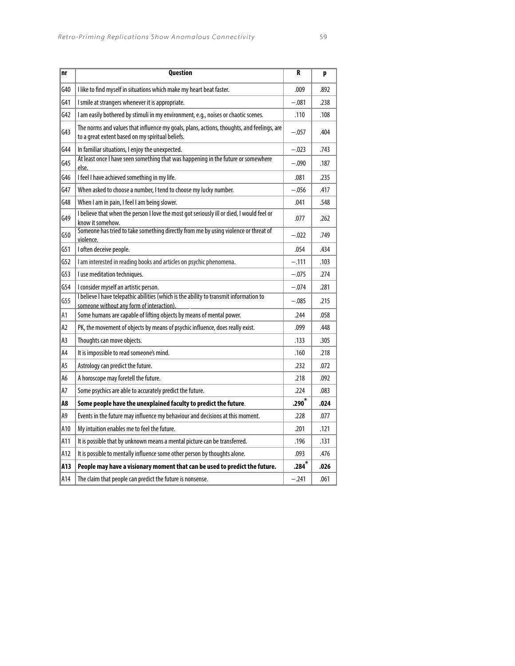| nr  | <b>Question</b>                                                                                                                               | R        | p    |
|-----|-----------------------------------------------------------------------------------------------------------------------------------------------|----------|------|
| G40 | I like to find myself in situations which make my heart beat faster.                                                                          | .009     | .892 |
| G41 | I smile at strangers whenever it is appropriate.                                                                                              | $-.081$  | .238 |
| G42 | I am easily bothered by stimuli in my environment, e.g., noises or chaotic scenes.                                                            | .110     | .108 |
| 643 | The norms and values that influence my goals, plans, actions, thoughts, and feelings, are<br>to a great extent based on my spiritual beliefs. | $-.057$  | .404 |
| G44 | In familiar situations, I enjoy the unexpected.                                                                                               | $-.023$  | .743 |
| G45 | At least once I have seen something that was happening in the future or somewhere<br>else.                                                    | $-.090$  | .187 |
| G46 | I feel I have achieved something in my life.                                                                                                  | .081     | .235 |
| G47 | When asked to choose a number, I tend to choose my lucky number.                                                                              | $-.056$  | .417 |
| G48 | When I am in pain, I feel I am being slower.                                                                                                  | .041     | .548 |
| G49 | I believe that when the person I love the most got seriously ill or died, I would feel or<br>know it somehow.                                 | .077     | .262 |
| G50 | Someone has tried to take something directly from me by using violence or threat of<br>violence.                                              | $-.022$  | .749 |
| G51 | I often deceive people.                                                                                                                       | .054     | .434 |
| G52 | I am interested in reading books and articles on psychic phenomena.                                                                           | $-.111$  | .103 |
| G53 | I use meditation techniques.                                                                                                                  | $-.075$  | .274 |
| G54 | I consider myself an artistic person.                                                                                                         | $-.074$  | .281 |
| G55 | I believe I have telepathic abilities (which is the ability to transmit information to<br>someone without any form of interaction).           | $-.085$  | .215 |
| A1  | Some humans are capable of lifting objects by means of mental power.                                                                          | .244     | .058 |
| A2  | PK, the movement of objects by means of psychic influence, does really exist.                                                                 | .099     | .448 |
| A3  | Thoughts can move objects.                                                                                                                    | .133     | .305 |
| Α4  | It is impossible to read someone's mind.                                                                                                      | .160     | .218 |
| А5  | Astrology can predict the future.                                                                                                             | .232     | .072 |
| A6  | A horoscope may foretell the future.                                                                                                          | .218     | .092 |
| А7  | Some psychics are able to accurately predict the future.                                                                                      | .224     | .083 |
| A8  | Some people have the unexplained faculty to predict the future.                                                                               | $.290^*$ | .024 |
| A9  | Events in the future may influence my behaviour and decisions at this moment.                                                                 | .228     | .077 |
| A10 | My intuition enables me to feel the future.                                                                                                   | .201     | .121 |
| A11 | It is possible that by unknown means a mental picture can be transferred.                                                                     | .196     | .131 |
| A12 | It is possible to mentally influence some other person by thoughts alone.                                                                     | .093     | .476 |
| A13 | People may have a visionary moment that can be used to predict the future.                                                                    | $.284*$  | .026 |
| A14 | The claim that people can predict the future is nonsense.                                                                                     | $-.241$  | .061 |